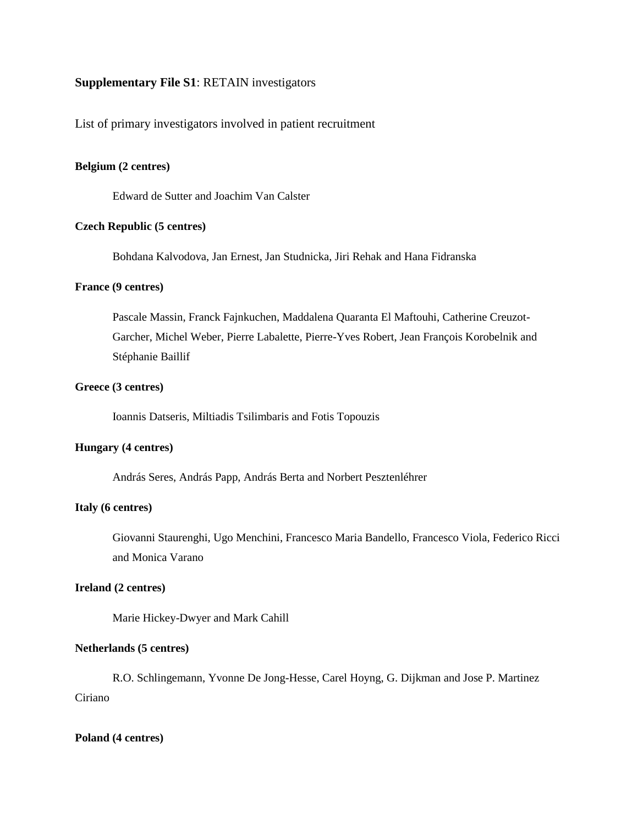# **Supplementary File S1**: RETAIN investigators

List of primary investigators involved in patient recruitment

## **Belgium (2 centres)**

Edward de Sutter and Joachim Van Calster

## **Czech Republic (5 centres)**

Bohdana Kalvodova, Jan Ernest, Jan Studnicka, Jiri Rehak and Hana Fidranska

## **France (9 centres)**

Pascale Massin, Franck Fajnkuchen, Maddalena Quaranta El Maftouhi, Catherine Creuzot-Garcher, Michel Weber, Pierre Labalette, Pierre-Yves Robert, Jean François Korobelnik and Stéphanie Baillif

## **Greece (3 centres)**

Ioannis Datseris, Miltiadis Tsilimbaris and Fotis Topouzis

# **Hungary (4 centres)**

András Seres, András Papp, András Berta and Norbert Pesztenléhrer

## **Italy (6 centres)**

Giovanni Staurenghi, Ugo Menchini, Francesco Maria Bandello, Francesco Viola, Federico Ricci and Monica Varano

## **Ireland (2 centres)**

Marie Hickey-Dwyer and Mark Cahill

#### **Netherlands (5 centres)**

R.O. Schlingemann, Yvonne De Jong-Hesse, Carel Hoyng, G. Dijkman and Jose P. Martinez Ciriano

#### **Poland (4 centres)**